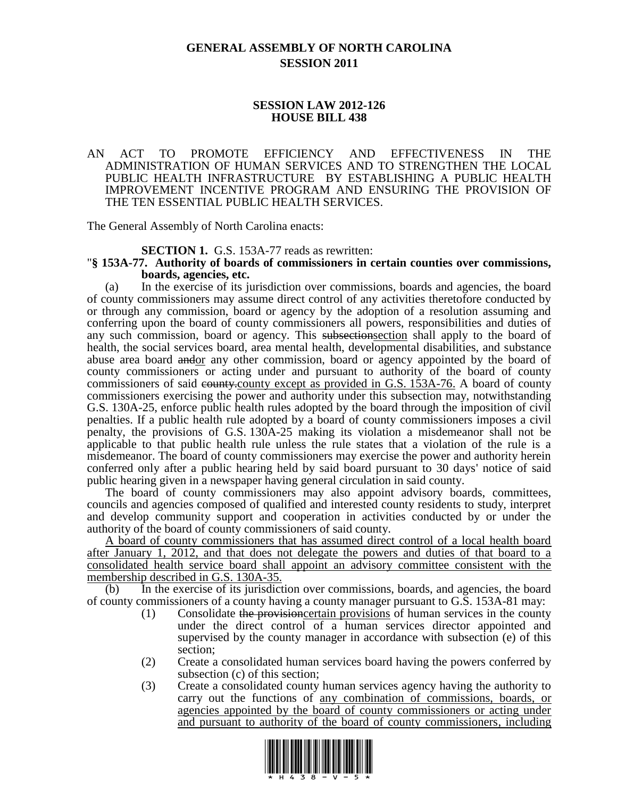# **GENERAL ASSEMBLY OF NORTH CAROLINA SESSION 2011**

## **SESSION LAW 2012-126 HOUSE BILL 438**

#### AN ACT TO PROMOTE EFFICIENCY AND EFFECTIVENESS IN THE ADMINISTRATION OF HUMAN SERVICES AND TO STRENGTHEN THE LOCAL PUBLIC HEALTH INFRASTRUCTURE BY ESTABLISHING A PUBLIC HEALTH IMPROVEMENT INCENTIVE PROGRAM AND ENSURING THE PROVISION OF THE TEN ESSENTIAL PUBLIC HEALTH SERVICES.

The General Assembly of North Carolina enacts:

#### **SECTION 1.** G.S. 153A-77 reads as rewritten:

#### "**§ 153A-77. Authority of boards of commissioners in certain counties over commissions, boards, agencies, etc.**

(a) In the exercise of its jurisdiction over commissions, boards and agencies, the board of county commissioners may assume direct control of any activities theretofore conducted by or through any commission, board or agency by the adoption of a resolution assuming and conferring upon the board of county commissioners all powers, responsibilities and duties of any such commission, board or agency. This subsections exhall apply to the board of health, the social services board, area mental health, developmental disabilities, and substance abuse area board andor any other commission, board or agency appointed by the board of county commissioners or acting under and pursuant to authority of the board of county commissioners of said equally except as provided in G.S. 153A-76. A board of county commissioners exercising the power and authority under this subsection may, notwithstanding G.S. 130A-25, enforce public health rules adopted by the board through the imposition of civil penalties. If a public health rule adopted by a board of county commissioners imposes a civil penalty, the provisions of G.S. 130A-25 making its violation a misdemeanor shall not be applicable to that public health rule unless the rule states that a violation of the rule is a misdemeanor. The board of county commissioners may exercise the power and authority herein conferred only after a public hearing held by said board pursuant to 30 days' notice of said public hearing given in a newspaper having general circulation in said county.

The board of county commissioners may also appoint advisory boards, committees, councils and agencies composed of qualified and interested county residents to study, interpret and develop community support and cooperation in activities conducted by or under the authority of the board of county commissioners of said county.

A board of county commissioners that has assumed direct control of a local health board after January 1, 2012, and that does not delegate the powers and duties of that board to a consolidated health service board shall appoint an advisory committee consistent with the membership described in G.S. 130A-35.

(b) In the exercise of its jurisdiction over commissions, boards, and agencies, the board of county commissioners of a county having a county manager pursuant to G.S. 153A-81 may:

- (1) Consolidate the provisioncertain provisions of human services in the county under the direct control of a human services director appointed and supervised by the county manager in accordance with subsection (e) of this section;
- (2) Create a consolidated human services board having the powers conferred by subsection (c) of this section;
- (3) Create a consolidated county human services agency having the authority to carry out the functions of any combination of commissions, boards, or agencies appointed by the board of county commissioners or acting under and pursuant to authority of the board of county commissioners, including

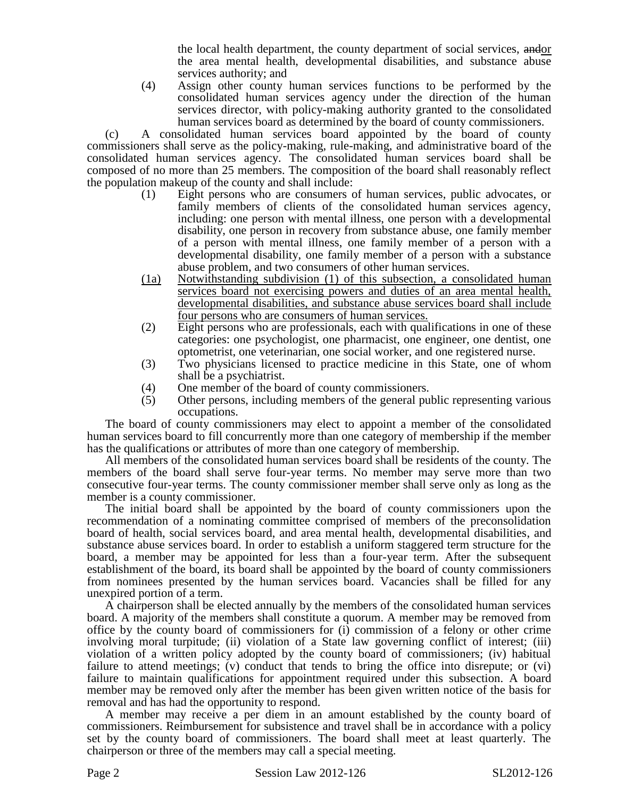the local health department, the county department of social services, andor the area mental health, developmental disabilities, and substance abuse services authority; and

(4) Assign other county human services functions to be performed by the consolidated human services agency under the direction of the human services director, with policy-making authority granted to the consolidated human services board as determined by the board of county commissioners.

(c) A consolidated human services board appointed by the board of county commissioners shall serve as the policy-making, rule-making, and administrative board of the consolidated human services agency. The consolidated human services board shall be composed of no more than 25 members. The composition of the board shall reasonably reflect the population makeup of the county and shall include:

- (1) Eight persons who are consumers of human services, public advocates, or family members of clients of the consolidated human services agency, including: one person with mental illness, one person with a developmental disability, one person in recovery from substance abuse, one family member of a person with mental illness, one family member of a person with a developmental disability, one family member of a person with a substance abuse problem, and two consumers of other human services.
- (1a) Notwithstanding subdivision (1) of this subsection, a consolidated human services board not exercising powers and duties of an area mental health, developmental disabilities, and substance abuse services board shall include four persons who are consumers of human services.
- (2) Eight persons who are professionals, each with qualifications in one of these categories: one psychologist, one pharmacist, one engineer, one dentist, one optometrist, one veterinarian, one social worker, and one registered nurse.
- (3) Two physicians licensed to practice medicine in this State, one of whom shall be a psychiatrist.
- (4) One member of the board of county commissioners.<br>(5) Other persons, including members of the general pu
- Other persons, including members of the general public representing various occupations.

The board of county commissioners may elect to appoint a member of the consolidated human services board to fill concurrently more than one category of membership if the member has the qualifications or attributes of more than one category of membership.

All members of the consolidated human services board shall be residents of the county. The members of the board shall serve four-year terms. No member may serve more than two consecutive four-year terms. The county commissioner member shall serve only as long as the member is a county commissioner.

The initial board shall be appointed by the board of county commissioners upon the recommendation of a nominating committee comprised of members of the preconsolidation board of health, social services board, and area mental health, developmental disabilities, and substance abuse services board. In order to establish a uniform staggered term structure for the board, a member may be appointed for less than a four-year term. After the subsequent establishment of the board, its board shall be appointed by the board of county commissioners from nominees presented by the human services board. Vacancies shall be filled for any unexpired portion of a term.

A chairperson shall be elected annually by the members of the consolidated human services board. A majority of the members shall constitute a quorum. A member may be removed from office by the county board of commissioners for (i) commission of a felony or other crime involving moral turpitude; (ii) violation of a State law governing conflict of interest; (iii) violation of a written policy adopted by the county board of commissioners; (iv) habitual failure to attend meetings; (v) conduct that tends to bring the office into disrepute; or (vi) failure to maintain qualifications for appointment required under this subsection. A board member may be removed only after the member has been given written notice of the basis for removal and has had the opportunity to respond.

A member may receive a per diem in an amount established by the county board of commissioners. Reimbursement for subsistence and travel shall be in accordance with a policy set by the county board of commissioners. The board shall meet at least quarterly. The chairperson or three of the members may call a special meeting.

Page 2 Session Law 2012-126 SL2012-126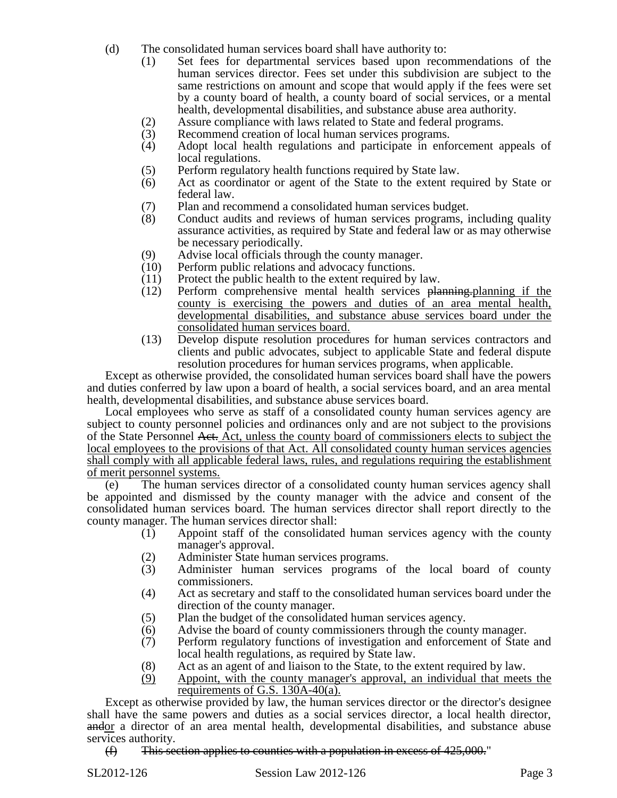- (d) The consolidated human services board shall have authority to:
	- (1) Set fees for departmental services based upon recommendations of the human services director. Fees set under this subdivision are subject to the same restrictions on amount and scope that would apply if the fees were set by a county board of health, a county board of social services, or a mental health, developmental disabilities, and substance abuse area authority.
	- (2) Assure compliance with laws related to State and federal programs.<br>(3) Recommend creation of local human services programs.
	- Recommend creation of local human services programs.
	- (4) Adopt local health regulations and participate in enforcement appeals of local regulations.
	- (5) Perform regulatory health functions required by State law.<br>(6) Act as coordinator or agent of the State to the extent required
	- Act as coordinator or agent of the State to the extent required by State or federal law.
	- (7) Plan and recommend a consolidated human services budget.
	- (8) Conduct audits and reviews of human services programs, including quality assurance activities, as required by State and federal law or as may otherwise be necessary periodically.
	- (9) Advise local officials through the county manager.
	- (10) Perform public relations and advocacy functions.
	- (11) Protect the public health to the extent required by law.
	- (12) Perform comprehensive mental health services planning.planning if the county is exercising the powers and duties of an area mental health, developmental disabilities, and substance abuse services board under the consolidated human services board.
	- (13) Develop dispute resolution procedures for human services contractors and clients and public advocates, subject to applicable State and federal dispute resolution procedures for human services programs, when applicable.

Except as otherwise provided, the consolidated human services board shall have the powers and duties conferred by law upon a board of health, a social services board, and an area mental health, developmental disabilities, and substance abuse services board.

Local employees who serve as staff of a consolidated county human services agency are subject to county personnel policies and ordinances only and are not subject to the provisions of the State Personnel Act. Act, unless the county board of commissioners elects to subject the local employees to the provisions of that Act. All consolidated county human services agencies shall comply with all applicable federal laws, rules, and regulations requiring the establishment of merit personnel systems.

(e) The human services director of a consolidated county human services agency shall be appointed and dismissed by the county manager with the advice and consent of the consolidated human services board. The human services director shall report directly to the county manager. The human services director shall:

- (1) Appoint staff of the consolidated human services agency with the county manager's approval.
- (2) Administer State human services programs.
- (3) Administer human services programs of the local board of county commissioners.
- (4) Act as secretary and staff to the consolidated human services board under the direction of the county manager.
- (5) Plan the budget of the consolidated human services agency.
- (6) Advise the board of county commissioners through the county manager.
- (7) Perform regulatory functions of investigation and enforcement of State and local health regulations, as required by State law.
- (8) Act as an agent of and liaison to the State, to the extent required by law.
- (9) Appoint, with the county manager's approval, an individual that meets the requirements of G.S. 130A-40(a).

Except as otherwise provided by law, the human services director or the director's designee shall have the same powers and duties as a social services director, a local health director, andor a director of an area mental health, developmental disabilities, and substance abuse services authority.

 $(f)$  This section applies to counties with a population in excess of 425,000."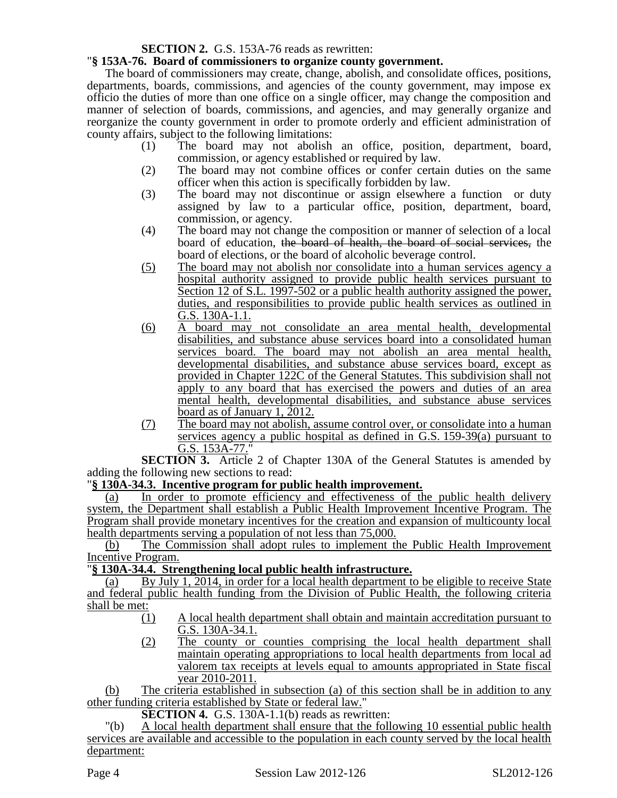# **SECTION 2.** G.S. 153A-76 reads as rewritten:

## "**§ 153A-76. Board of commissioners to organize county government.**

The board of commissioners may create, change, abolish, and consolidate offices, positions, departments, boards, commissions, and agencies of the county government, may impose ex officio the duties of more than one office on a single officer, may change the composition and manner of selection of boards, commissions, and agencies, and may generally organize and reorganize the county government in order to promote orderly and efficient administration of county affairs, subject to the following limitations:

- (1) The board may not abolish an office, position, department, board, commission, or agency established or required by law.
- (2) The board may not combine offices or confer certain duties on the same officer when this action is specifically forbidden by law.
- (3) The board may not discontinue or assign elsewhere a function or duty assigned by law to a particular office, position, department, board, commission, or agency.
- (4) The board may not change the composition or manner of selection of a local board of education, the board of health, the board of social services, the board of elections, or the board of alcoholic beverage control.
- (5) The board may not abolish nor consolidate into a human services agency a hospital authority assigned to provide public health services pursuant to Section 12 of S.L. 1997-502 or a public health authority assigned the power, duties, and responsibilities to provide public health services as outlined in G.S. 130A-1.1.
- (6) A board may not consolidate an area mental health, developmental disabilities, and substance abuse services board into a consolidated human services board. The board may not abolish an area mental health, developmental disabilities, and substance abuse services board, except as provided in Chapter 122C of the General Statutes. This subdivision shall not apply to any board that has exercised the powers and duties of an area mental health, developmental disabilities, and substance abuse services board as of January 1, 2012.
- (7) The board may not abolish, assume control over, or consolidate into a human services agency a public hospital as defined in G.S. 159-39(a) pursuant to G.S. 153A-77."

**SECTION 3.** Article 2 of Chapter 130A of the General Statutes is amended by adding the following new sections to read:

### "**§ 130A-34.3. Incentive program for public health improvement.**

(a) In order to promote efficiency and effectiveness of the public health delivery system, the Department shall establish a Public Health Improvement Incentive Program. The Program shall provide monetary incentives for the creation and expansion of multicounty local health departments serving a population of not less than 75,000.

(b) The Commission shall adopt rules to implement the Public Health Improvement Incentive Program.

# "**§ 130A-34.4. Strengthening local public health infrastructure.**

(a) By July 1, 2014, in order for a local health department to be eligible to receive State and federal public health funding from the Division of Public Health, the following criteria shall be met:

- (1) A local health department shall obtain and maintain accreditation pursuant to G.S. 130A-34.1.
- (2) The county or counties comprising the local health department shall maintain operating appropriations to local health departments from local ad valorem tax receipts at levels equal to amounts appropriated in State fiscal year 2010-2011.

(b) The criteria established in subsection (a) of this section shall be in addition to any other funding criteria established by State or federal law."

**SECTION 4.** G.S. 130A-1.1(b) reads as rewritten:

"(b) A local health department shall ensure that the following 10 essential public health services are available and accessible to the population in each county served by the local health department: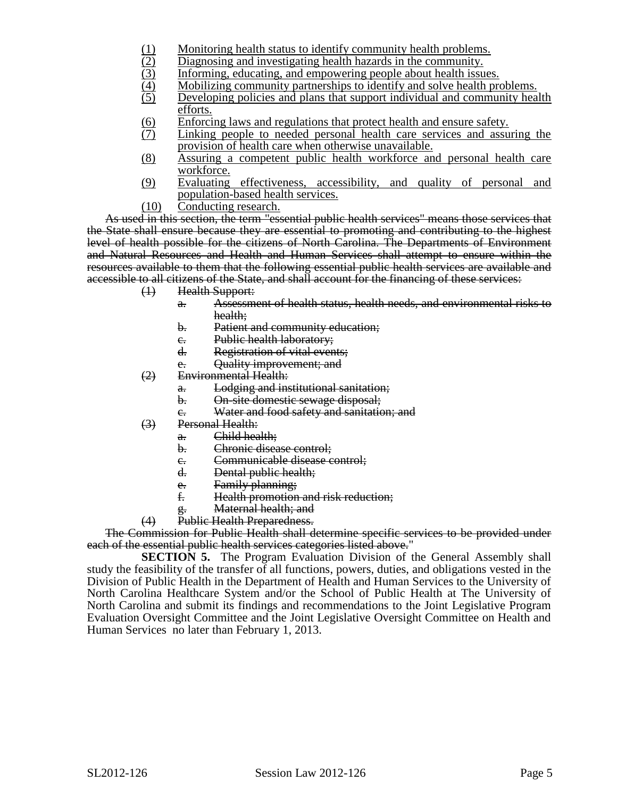- 
- Diagnosing and investigating health hazards in the community.
- Informing, educating, and empowering people about health issues.
- Mobilizing community partnerships to identify and solve health problems.
- (1) Monitoring health status to identify community health problems.<br>
(2) Diagnosing and investigating health hazards in the community.<br>
Informing, educating, and empowering people about health issues.<br>
(4) Mobilizing commu Developing policies and plans that support individual and community health efforts.
- (6) Enforcing laws and regulations that protect health and ensure safety.<br>(7) Linking people to needed personal health care services and assu
- Linking people to needed personal health care services and assuring the provision of health care when otherwise unavailable.
- (8) Assuring a competent public health workforce and personal health care workforce.
- (9) Evaluating effectiveness, accessibility, and quality of personal and population-based health services.
- (10) Conducting research.

As used in this section, the term "essential public health services" means those services that the State shall ensure because they are essential to promoting and contributing to the highest level of health possible for the citizens of North Carolina. The Departments of Environment and Natural Resources and Health and Human Services shall attempt to ensure within the resources available to them that the following essential public health services are available and accessible to all citizens of the State, and shall account for the financing of these services:

- (1) Health Support:
	- a. Assessment of health status, health needs, and environmental risks to health;
	- b. Patient and community education;
	- c. Public health laboratory;
	- d. Registration of vital events;
	- e. Quality improvement; and
- (2) Environmental Health:
	- a. Lodging and institutional sanitation;
	- b. On-site domestic sewage disposal;
	- c. Water and food safety and sanitation; and
- (3) Personal Health:
	- a. Child health;
	- b. Chronic disease control;
	- e. Communicable disease control;<br>d. Dental public health:
	- Dental public health;
	- e. Family planning;<br>
	f Health promotion
	- Health promotion and risk reduction;
	- g. Maternal health; and
- (4) Public Health Preparedness.

The Commission for Public Health shall determine specific services to be provided under each of the essential public health services categories listed above."

**SECTION 5.** The Program Evaluation Division of the General Assembly shall study the feasibility of the transfer of all functions, powers, duties, and obligations vested in the Division of Public Health in the Department of Health and Human Services to the University of North Carolina Healthcare System and/or the School of Public Health at The University of North Carolina and submit its findings and recommendations to the Joint Legislative Program Evaluation Oversight Committee and the Joint Legislative Oversight Committee on Health and Human Services no later than February 1, 2013.